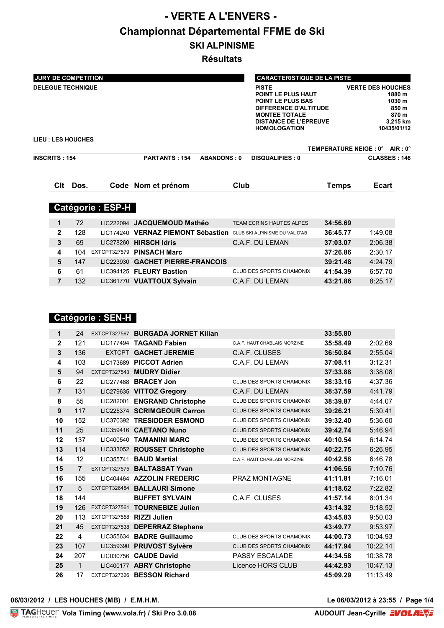# **- VERTE A L'ENVERS - Championnat Départemental FFME de Ski SKI ALPINISME**

**Résultats**

| <b>JURY DE COMPETITION</b> |      |                         |                                  |                    | <b>CARACTERISTIQUE DE LA PISTE</b>                                                                                                                                                   |          |                                                        |                                                               |
|----------------------------|------|-------------------------|----------------------------------|--------------------|--------------------------------------------------------------------------------------------------------------------------------------------------------------------------------------|----------|--------------------------------------------------------|---------------------------------------------------------------|
| <b>DELEGUE TECHNIQUE</b>   |      |                         |                                  |                    | <b>PISTE</b><br><b>POINT LE PLUS HAUT</b><br><b>POINT LE PLUS BAS</b><br><b>DIFFERENCE D'ALTITUDE</b><br><b>MONTEE TOTALE</b><br><b>DISTANCE DE L'EPREUVE</b><br><b>HOMOLOGATION</b> |          | <b>VERTE DES HOUCHES</b>                               | 1880 m<br>1030 m<br>850 m<br>870 m<br>3,215 km<br>10435/01/12 |
| <b>LIEU : LES HOUCHES</b>  |      |                         |                                  |                    |                                                                                                                                                                                      |          |                                                        |                                                               |
| <b>INSCRITS: 154</b>       |      |                         | <b>PARTANTS: 154</b>             | <b>ABANDONS: 0</b> | <b>DISQUALIFIES: 0</b>                                                                                                                                                               |          | TEMPERATURE NEIGE : 0° AIR : 0°<br><b>CLASSES: 146</b> |                                                               |
| Clt                        | Dos. |                         | Code Nom et prénom               | Club               |                                                                                                                                                                                      | Temps    | <b>Ecart</b>                                           |                                                               |
|                            |      | <b>Catégorie: ESP-H</b> |                                  |                    |                                                                                                                                                                                      |          |                                                        |                                                               |
| 1                          | 72   |                         | LIC222094 JACQUEMOUD Mathéo      |                    | TEAM ECRINS HAUTES ALPES                                                                                                                                                             | 34:56.69 |                                                        |                                                               |
| $\mathbf{2}$               | 128  | LIC174240               | <b>VERNAZ PIEMONT Sébastien</b>  |                    | CLUB SKI ALPINISME DU VAL D'AB                                                                                                                                                       | 36:45.77 | 1:49.08                                                |                                                               |
| 3                          | 69   | LIC278260               | <b>HIRSCH Idris</b>              |                    | C.A.F. DU LEMAN                                                                                                                                                                      | 37:03.07 | 2:06.38                                                |                                                               |
| 4                          | 104  | EXTCPT327579            | <b>PINSACH Marc</b>              |                    |                                                                                                                                                                                      | 37:26.86 | 2:30.17                                                |                                                               |
| 5                          | 147  |                         | LIC223930 GACHET PIERRE-FRANCOIS |                    |                                                                                                                                                                                      | 39:21.48 | 4:24.79                                                |                                                               |

**6** 61 LIC394125 **FLEURY Bastien** CLUB DES SPORTS CHAMONIX **41:54.39** 6:57.70 **7** 132 LIC361770 **VUATTOUX Sylvain** C.A.F. DU LEMAN **43:21.86** 8:25.17

 121 LIC177494 **TAGAND Fabien** C.A.F. HAUT CHABLAIS MORZINE **35:58.49** 2:02.69 136 EXTCPT **GACHET JEREMIE** C.A.F. CLUSES **36:50.84** 2:55.04 103 LIC173689 **PICCOT Adrien** C.A.F. DU LEMAN **37:08.11** 3:12.31 94 EXTCPT327543 **MUDRY Didier 37:33.88** 3:38.08 22 LIC277488 **BRACEY Jon** CLUB DES SPORTS CHAMONIX **38:33.16** 4:37.36 131 LIC279635 **VITTOZ Gregory** C.A.F. DU LEMAN **38:37.59** 4:41.79 55 LIC282001 **ENGRAND Christophe** CLUB DES SPORTS CHAMONIX **38:39.87** 4:44.07 117 LIC225374 **SCRIMGEOUR Carron** CLUB DES SPORTS CHAMONIX **39:26.21** 5:30.41 152 LIC370392 **TRESIDDER ESMOND** CLUB DES SPORTS CHAMONIX **39:32.40** 5:36.60 25 LIC359416 **CAETANO Nuno** CLUB DES SPORTS CHAMONIX **39:42.74** 5:46.94 137 LIC400540 **TAMANINI MARC** CLUB DES SPORTS CHAMONIX **40:10.54** 6:14.74 114 LIC333052 **ROUSSET Christophe** CLUB DES SPORTS CHAMONIX **40:22.75** 6:26.95 12 LIC355741 **BAUD Martial** C.A.F. HAUT CHABLAIS MORZINE **40:42.58** 6:46.78 7 EXTCPT327575 **BALTASSAT Yvan 41:06.56** 7:10.76 155 LIC404464 **AZZOLIN FREDERIC** PRAZ MONTAGNE **41:11.81** 7:16.01 5 EXTCPT326484 **BALLAURI Simone 41:18.62** 7:22.82 144 **BUFFET SYLVAIN** C.A.F. CLUSES **41:57.14** 8:01.34 126 EXTCPT327561 **TOURNEBIZE Julien 43:14.32** 9:18.52 113 EXTCPT327558 **RIZZI Julien 43:45.83** 9:50.03 45 EXTCPT327538 **DEPERRAZ Stephane 43:49.77** 9:53.97 4 LIC355634 **BADRE Guillaume** CLUB DES SPORTS CHAMONIX **44:00.73** 10:04.93 107 LIC359390 **PRUVOST Sylvère** CLUB DES SPORTS CHAMONIX **44:17.94** 10:22.14 207 LIC030756 **CAUDE David** PASSY ESCALADE **44:34.58** 10:38.78 1 LIC400177 **ABRY Christophe** Licence HORS CLUB **44:42.93** 10:47.13

**1** 24 EXTCPT327567 **BURGADA JORNET Kilian 33:55.80**

# **26** 17 EXTCPT327326 **BESSON Richard 45:09.29** 11:13.49

 **Catégorie : SEN-H**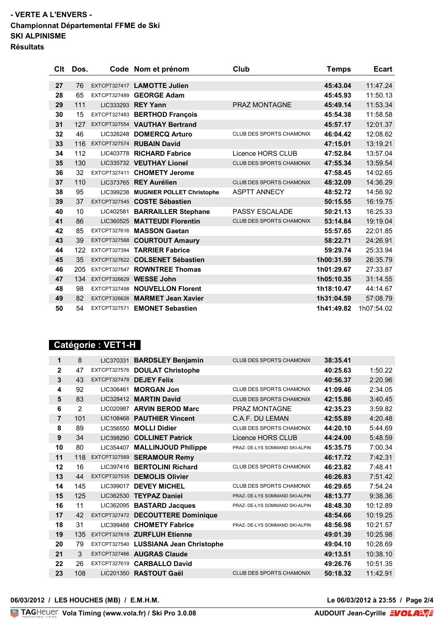## **- VERTE A L'ENVERS - Championnat Départemental FFME de Ski SKI ALPINISME Résultats**

| Clt | Dos. |              | Code Nom et prénom                  | Club                            | <b>Temps</b> | <b>Ecart</b> |
|-----|------|--------------|-------------------------------------|---------------------------------|--------------|--------------|
| 27  | 76   |              | EXTCPT327417 LAMOTTE Julien         |                                 | 45:43.04     | 11:47.24     |
| 28  | 65   |              | EXTCPT327489 GEORGE Adam            |                                 | 45:45.93     | 11:50.13     |
| 29  | 111  |              | LIC333293 REY Yann                  | PRAZ MONTAGNE                   | 45:49.14     | 11:53.34     |
| 30  | 15   |              | EXTCPT327483 BERTHOD François       |                                 | 45:54.38     | 11:58.58     |
| 31  | 127  |              | EXTCPT327554 VAUTHAY Bertrand       |                                 | 45:57.17     | 12:01.37     |
| 32  | 46   |              | LIC326248 DOMERCQ Arturo            | <b>CLUB DES SPORTS CHAMONIX</b> | 46:04.42     | 12:08.62     |
| 33  | 116  |              | EXTCPT327574 RUBAIN David           |                                 | 47:15.01     | 13:19.21     |
| 34  | 112  |              | LIC403778 RICHARD Fabrice           | Licence HORS CLUB               | 47:52.84     | 13:57.04     |
| 35  | 130  |              | LIC335732 VEUTHAY Lionel            | <b>CLUB DES SPORTS CHAMONIX</b> | 47:55.34     | 13:59.54     |
| 36  | 32   |              | EXTCPT327411 CHOMETY Jerome         |                                 | 47:58.45     | 14:02.65     |
| 37  | 110  |              | LIC373765 REY Aurélien              | <b>CLUB DES SPORTS CHAMONIX</b> | 48:32.09     | 14:36.29     |
| 38  | 95   |              | LIC399238 MUGNIER POLLET Christophe | <b>ASPTT ANNECY</b>             | 48:52.72     | 14:56.92     |
| 39  | 37   |              | EXTCPT327545 COSTE Sébastien        |                                 | 50:15.55     | 16:19.75     |
| 40  | 10   |              | LIC402581 BARRAILLER Stephane       | <b>PASSY ESCALADE</b>           | 50:21.13     | 16:25.33     |
| 41  | 86   |              | LIC360525 MATTEUDI Florentin        | CLUB DES SPORTS CHAMONIX        | 53:14.84     | 19:19.04     |
| 42  | 85   |              | EXTCPT327616 MASSON Gaetan          |                                 | 55:57.65     | 22:01.85     |
| 43  | 39   |              | EXTCPT327568 COURTOUT Amaury        |                                 | 58:22.71     | 24:26.91     |
| 44  | 122  |              | EXTCPT327394 TARRIER Fabrice        |                                 | 59:29.74     | 25:33.94     |
| 45  | 35   |              | EXTCPT327622 COLSENET Sébastien     |                                 | 1h00:31.59   | 26:35.79     |
| 46  | 205  |              | EXTCPT327547 ROWNTREE Thomas        |                                 | 1h01:29.67   | 27:33.87     |
| 47  | 134  |              | EXTCPT326629 WESSE John             |                                 | 1h05:10.35   | 31:14.55     |
| 48  | 98   |              | EXTCPT327498 NOUVELLON Florent      |                                 | 1h18:10.47   | 44:14.67     |
| 49  | 82   |              | EXTCPT326626 MARMET Jean Xavier     |                                 | 1h31:04.59   | 57:08.79     |
| 50  | 54   | EXTCPT327571 | <b>EMONET Sebastien</b>             |                                 | 1h41:49.82   | 1h07:54.02   |

# **Catégorie : VET1-H**

| 8              | LIC370331           | <b>BARDSLEY Benjamin</b>        | CLUB DES SPORTS CHAMONIX                                                  | 38:35.41 |          |
|----------------|---------------------|---------------------------------|---------------------------------------------------------------------------|----------|----------|
| 47             | <b>EXTCPT327576</b> | <b>DOULAT Christophe</b>        |                                                                           | 40:25.63 | 1:50.22  |
| 43             | <b>EXTCPT327478</b> | <b>DEJEY Felix</b>              |                                                                           | 40:56.37 | 2:20.96  |
| 92             | LIC306461           | <b>MORGAN Jon</b>               | <b>CLUB DES SPORTS CHAMONIX</b>                                           | 41:09.46 | 2:34.05  |
| 83             | LIC328412           | <b>MARTIN David</b>             | <b>CLUB DES SPORTS CHAMONIX</b>                                           | 42:15.86 | 3:40.45  |
| $\overline{2}$ | LIC020987           | <b>ARVIN BEROD Marc</b>         | <b>PRAZ MONTAGNE</b>                                                      | 42:35.23 | 3:59.82  |
| 101            | LIC108468           | <b>PAUTHIER Vincent</b>         | C.A.F. DU LEMAN                                                           | 42:55.89 | 4:20.48  |
| 89             | LIC356550           | <b>MOLLI Didier</b>             | <b>CLUB DES SPORTS CHAMONIX</b>                                           | 44:20.10 | 5:44.69  |
| 34             | LIC398290           | <b>COLLINET Patrick</b>         | Licence HORS CLUB                                                         | 44:24.00 | 5:48.59  |
| 80             | LIC354407           | <b>MALLINJOUD Philippe</b>      | PRAZ- DE-LYS SOMMAND SKI-ALPIN                                            | 45:35.75 | 7:00.34  |
| 118            |                     |                                 |                                                                           | 46:17.72 | 7:42.31  |
| 16             | LIC397416           | <b>BERTOLINI Richard</b>        | <b>CLUB DES SPORTS CHAMONIX</b>                                           | 46:23.82 | 7:48.41  |
| 44             | <b>EXTCPT327535</b> | <b>DEMOLIS Olivier</b>          |                                                                           | 46:26.83 | 7:51.42  |
| 145            | LIC399017           | <b>DEVEY MICHEL</b>             | CLUB DES SPORTS CHAMONIX                                                  | 46:29.65 | 7:54.24  |
| 125            | LIC362530           | <b>TEYPAZ Daniel</b>            | PRAZ- DE-LYS SOMMAND SKI-ALPIN                                            | 48:13.77 | 9:38.36  |
| 11             | LIC362095           | <b>BASTARD Jacques</b>          | PRAZ- DE-LYS SOMMAND SKI-ALPIN                                            | 48:48.30 | 10:12.89 |
| 42             | <b>EXTCPT327472</b> | <b>DECOUTTERE Dominique</b>     |                                                                           | 48:54.66 | 10:19.25 |
| 31             | LIC399488           | <b>CHOMETY Fabrice</b>          | PRAZ- DE-LYS SOMMAND SKI-ALPIN                                            | 48:56.98 | 10:21.57 |
| 135            | EXTCPT327618        | <b>ZURFLUH Etienne</b>          |                                                                           | 49:01.39 | 10:25.98 |
| 79             | EXTCPT327540        | <b>LUSSIANA Jean Christophe</b> |                                                                           | 49:04.10 | 10:28.69 |
| 3              | <b>EXTCPT327466</b> |                                 |                                                                           | 49:13.51 | 10:38.10 |
| 26             | EXTCPT327619        | <b>CARBALLO David</b>           |                                                                           | 49:26.76 | 10:51.35 |
| 108            | LIC201350           |                                 | CLUB DES SPORTS CHAMONIX                                                  | 50:18.32 | 11:42.91 |
|                |                     |                                 | EXTCPT327569 SERAMOUR Remy<br><b>AUGRAS Claude</b><br><b>RASTOUT Gaël</b> |          |          |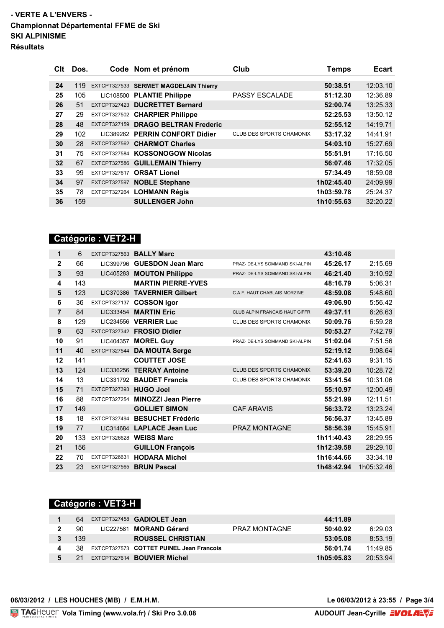## **- VERTE A L'ENVERS - Championnat Départemental FFME de Ski SKI ALPINISME Résultats**

| Clt             | Dos. |              | Code Nom et prénom                    | Club                     | <b>Temps</b> | <b>Ecart</b> |
|-----------------|------|--------------|---------------------------------------|--------------------------|--------------|--------------|
| 24              | 119  |              | EXTCPT327533 SERMET MAGDELAIN Thierry |                          | 50:38.51     | 12:03.10     |
| 25              | 105  |              | LIC108500 PLANTIE Philippe            | <b>PASSY ESCALADE</b>    | 51:12.30     | 12:36.89     |
| 26              | 51   |              | EXTCPT327423 DUCRETTET Bernard        |                          | 52:00.74     | 13:25.33     |
| 27              | 29   |              | EXTCPT327502 CHARPIER Philippe        |                          | 52:25.53     | 13:50.12     |
| 28              | 48   |              | EXTCPT327159 DRAGO BELTRAN Frederic   |                          | 52:55.12     | 14:19.71     |
| 29              | 102  |              | LIC389262 PERRIN CONFORT Didier       | CLUB DES SPORTS CHAMONIX | 53:17.32     | 14:41.91     |
| 30              | 28   |              | EXTCPT327562 CHARMOT Charles          |                          | 54:03.10     | 15:27.69     |
| 31              | 75   |              | EXTCPT327584 KOSSONOGOW Nicolas       |                          | 55:51.91     | 17:16.50     |
| 32 <sub>2</sub> | 67   |              | EXTCPT327586 GUILLEMAIN Thierry       |                          | 56:07.46     | 17:32.05     |
| 33              | 99   | EXTCPT327617 | <b>ORSAT Lionel</b>                   |                          | 57:34.49     | 18:59.08     |
| 34              | 97   |              | EXTCPT327597 NOBLE Stephane           |                          | 1h02:45.40   | 24:09.99     |
| 35              | 78   |              | EXTCPT327264 LOHMANN Régis            |                          | 1h03:59.78   | 25:24.37     |
| 36              | 159  |              | <b>SULLENGER John</b>                 |                          | 1h10:55.63   | 32:20.22     |

# **Catégorie : VET2-H**

| 1              | 6   | <b>EXTCPT327563</b>    | <b>BALLY Marc</b>          |                                       | 43:10.48   |            |
|----------------|-----|------------------------|----------------------------|---------------------------------------|------------|------------|
| $\mathbf 2$    | 66  | LIC399796              | <b>GUESDON Jean Marc</b>   | PRAZ- DE-LYS SOMMAND SKI-ALPIN        | 45:26.17   | 2:15.69    |
| 3              | 93  | LIC405283              | <b>MOUTON Philippe</b>     | PRAZ- DE-LYS SOMMAND SKI-ALPIN        | 46:21.40   | 3:10.92    |
| 4              | 143 |                        | <b>MARTIN PIERRE-YVES</b>  |                                       | 48:16.79   | 5:06.31    |
| 5              | 123 | LIC370386              | <b>TAVERNIER Gilbert</b>   | C.A.F. HAUT CHABLAIS MORZINE          | 48:59.08   | 5:48.60    |
| 6              | 36  | EXTCPT327137           | <b>COSSON Igor</b>         |                                       | 49:06.90   | 5:56.42    |
| $\overline{7}$ | 84  |                        | LIC333454 MARTIN Eric      | <b>CLUB ALPIN FRANCAIS HAUT GIFFR</b> | 49:37.11   | 6:26.63    |
| 8              | 129 | LIC234556              | <b>VERRIER Luc</b>         | CLUB DES SPORTS CHAMONIX              | 50:09.76   | 6:59.28    |
| 9              | 63  |                        | EXTCPT327342 FROSIO Didier |                                       | 50:53.27   | 7:42.79    |
| 10             | 91  | LIC404357              | <b>MOREL Guy</b>           | PRAZ- DE-LYS SOMMAND SKI-ALPIN        | 51:02.04   | 7:51.56    |
| 11             | 40  | <b>EXTCPT327544</b>    | <b>DA MOUTA Serge</b>      |                                       | 52:19.12   | 9:08.64    |
| 12             | 141 |                        | <b>COUTTET JOSE</b>        |                                       | 52:41.63   | 9:31.15    |
| 13             | 124 | LIC336256              | <b>TERRAY Antoine</b>      | <b>CLUB DES SPORTS CHAMONIX</b>       | 53:39.20   | 10:28.72   |
| 14             | 13  | LIC331792              | <b>BAUDET Francis</b>      | <b>CLUB DES SPORTS CHAMONIX</b>       | 53:41.54   | 10:31.06   |
| 15             | 71  | EXTCPT327393 HUGO Joel |                            |                                       | 55:10.97   | 12:00.49   |
| 16             | 88  | <b>EXTCPT327254</b>    | <b>MINOZZI Jean Pierre</b> |                                       | 55:21.99   | 12:11.51   |
| 17             | 149 |                        | <b>GOLLIET SIMON</b>       | <b>CAF ARAVIS</b>                     | 56:33.72   | 13:23.24   |
| 18             | 18  | <b>EXTCPT327494</b>    | <b>BESUCHET Frédéric</b>   |                                       | 56:56.37   | 13:45.89   |
| 19             | 77  |                        | LIC314684 LAPLACE Jean Luc | <b>PRAZ MONTAGNE</b>                  | 58:56.39   | 15:45.91   |
| 20             | 133 | <b>EXTCPT326628</b>    | <b>WEISS Marc</b>          |                                       | 1h11:40.43 | 28:29.95   |
| 21             | 156 |                        | <b>GUILLON François</b>    |                                       | 1h12:39.58 | 29:29.10   |
| 22             | 70  | EXTCPT326631           | <b>HODARA Michel</b>       |                                       | 1h16:44.66 | 33:34.18   |
| 23             | 23  | <b>EXTCPT327565</b>    | <b>BRUN Pascal</b>         |                                       | 1h48:42.94 | 1h05:32.46 |

# **Catégorie : VET3-H**

| 64  | EXTCPT327458 <b>GADIOLET Jean</b>        |               | 44:11.89   |          |
|-----|------------------------------------------|---------------|------------|----------|
| 90  | LIC227581 MORAND Gérard                  | PRAZ MONTAGNE | 50:40.92   | 6:29.03  |
| 139 | <b>ROUSSEL CHRISTIAN</b>                 |               | 53:05.08   | 8:53.19  |
| 38. | EXTCPT327573 COTTET PUINEL Jean Francois |               | 56:01.74   | 11:49.85 |
| 21  | EXTCPT327614 <b>BOUVIER Michel</b>       |               | 1h05:05.83 | 20:53.94 |

#### **06/03/2012 / LES HOUCHES (MB) / E.M.H.M.**